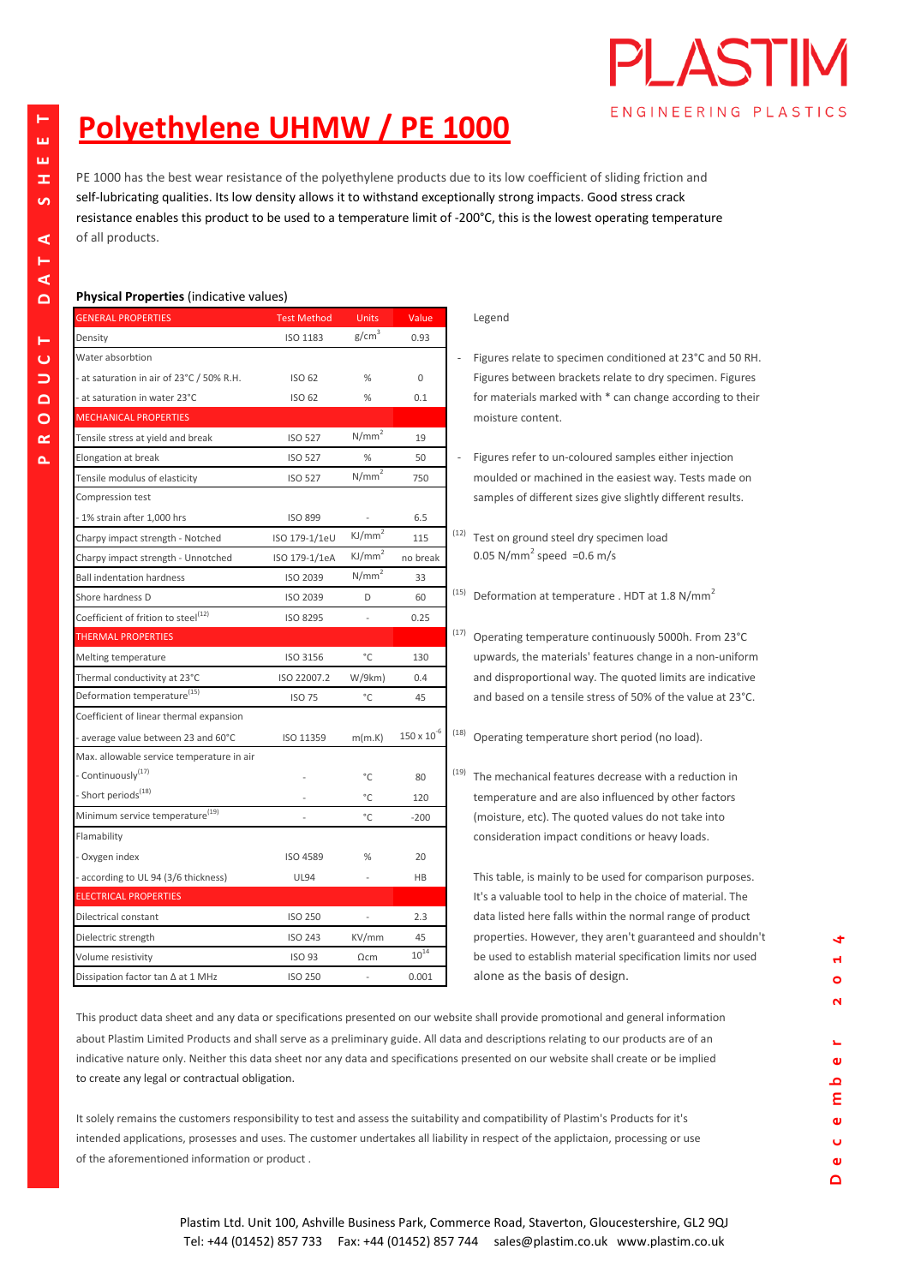## **Polyethylene UHMW / PE 1000**

PE 1000 has the best wear resistance of the polyethylene products due to its low coefficient of sliding friction and self-lubricating qualities. Its low density allows it to withstand exceptionally strong impacts. Good stress crack resistance enables this product to be used to a temperature limit of -200°C, this is the lowest operating temperature of all products.

## **Physical Properties** (indicative values)

| <b>GENERAL PROPERTIES</b>                       | <b>Test Method</b> | <b>Units</b>             | Value                     |      | Legend    |
|-------------------------------------------------|--------------------|--------------------------|---------------------------|------|-----------|
| Density                                         | <b>ISO 1183</b>    | $g/cm^3$                 | 0.93                      |      |           |
| Water absorbtion                                |                    |                          |                           |      | Figures   |
| - at saturation in air of 23°C / 50% R.H.       | ISO 62             | $\%$                     | 0                         |      | Figures   |
| - at saturation in water 23°C                   | ISO 62             | %                        | 0.1                       |      | for mat   |
| <b>MECHANICAL PROPERTIES</b>                    |                    |                          |                           |      | moistu    |
| Tensile stress at yield and break               | <b>ISO 527</b>     | N/mm <sup>2</sup>        | 19                        |      |           |
| Elongation at break                             | <b>ISO 527</b>     | %                        | 50                        |      | Figures   |
| Tensile modulus of elasticity                   | <b>ISO 527</b>     | $N/mm^2$                 | 750                       |      | moulde    |
| Compression test                                |                    |                          |                           |      | sample    |
| - 1% strain after 1,000 hrs                     | <b>ISO 899</b>     |                          | 6.5                       |      |           |
| Charpy impact strength - Notched                | ISO 179-1/1eU      | KJ/mm <sup>2</sup>       | 115                       | (12) | Test on   |
| Charpy impact strength - Unnotched              | ISO 179-1/1eA      | $KJ/mm^2$                | no break                  |      | 0.05 N    |
| <b>Ball indentation hardness</b>                | ISO 2039           | N/mm <sup>2</sup>        | 33                        |      |           |
| Shore hardness D                                | ISO 2039           | D                        | 60                        | (15) | Deform    |
| Coefficient of frition to steel <sup>(12)</sup> | ISO 8295           |                          | 0.25                      |      |           |
| <b>THERMAL PROPERTIES</b>                       |                    |                          |                           | (17) | Operat    |
| Melting temperature                             | ISO 3156           | °C                       | 130                       |      | upward    |
| Thermal conductivity at 23°C                    | ISO 22007.2        | W/9km)                   | 0.4                       |      | and dis   |
| Deformation temperature <sup>(15)</sup>         | <b>ISO 75</b>      | °C                       | 45                        |      | and ba:   |
| Coefficient of linear thermal expansion         |                    |                          |                           |      |           |
| - average value between 23 and 60°C             | ISO 11359          | m(m.K)                   | $150\times10^{\text{-}6}$ | (18) | Operat    |
| Max. allowable service temperature in air       |                    |                          |                           |      |           |
| - Continuously <sup>(17)</sup>                  |                    | °C                       | 80                        | (19) | The me    |
| - Short periods <sup>(18)</sup>                 |                    | °C                       | 120                       |      | temper    |
| Minimum service temperature <sup>(19)</sup>     |                    | $^{\circ}{\rm C}$        | $-200$                    |      | (moistu   |
| Flamability                                     |                    |                          |                           |      | conside   |
| - Oxygen index                                  | <b>ISO 4589</b>    | %                        | 20                        |      |           |
| - according to UL 94 (3/6 thickness)            | <b>UL94</b>        |                          | HB                        |      | This tal  |
| <b>ELECTRICAL PROPERTIES</b>                    |                    |                          |                           |      | It's a va |
| Dilectrical constant                            | <b>ISO 250</b>     |                          | 2.3                       |      | data lis  |
| Dielectric strength                             | <b>ISO 243</b>     | KV/mm                    | 45                        |      | proper    |
| Volume resistivity                              | <b>ISO 93</b>      | $\Omega$ cm              | $10^{14}$                 |      | be use    |
| Dissipation factor tan ∆ at 1 MHz               | <b>ISO 250</b>     | $\overline{\phantom{a}}$ | 0.001                     |      | alone     |
|                                                 |                    |                          |                           |      |           |

Figures relate to specimen conditioned at 23°C and 50 RH. Figures between brackets relate to dry specimen. Figures for materials marked with \* can change according to their moisture content.

PLASH

ENGINEERING PLASTICS

- Figures refer to un-coloured samples either injection moulded or machined in the easiest way. Tests made on samples of different sizes give slightly different results.
- $(12)$  Test on ground steel dry specimen load no break  $0.05 \text{ N/mm}^2$  speed =0.6 m/s
	- $^{(15)}$  Deformation at temperature . HDT at 1.8 N/mm<sup>2</sup>
	- $T$ <sup>(17)</sup> Operating temperature continuously 5000h. From 23°C upwards, the materials' features change in a non-uniform and disproportional way. The quoted limits are indicative and based on a tensile stress of 50% of the value at 23°C.
	- $(18)$  Operating temperature short period (no load).

This table, is mainly to be used for comparison purposes. It's a valuable tool to help in the choice of material. The data listed here falls within the normal range of product properties. However, they aren't guaranteed and shouldn't be used to establish material specification limits nor used alone as the basis of design. **0.001 alone as the basis of design. 0.001** 

about Plastim Limited Products and shall serve as a preliminary guide. All data and descriptions relating to our products are of an **r**indicative nature only. Neither this data sheet nor any data and specifications presented on our website shall create or be implied **<sup>e</sup>**to create any legal or contractual obligation. **<sup>b</sup>**This product data sheet and any data or specifications presented on our website shall provide promotional and general information

It solely remains the customers responsibility to test and assess the suitability and compatibility of Plastim's Products for it's **<sup>e</sup>**intended applications, prosesses and uses. The customer undertakes all liability in respect of the applictaion, processing or use **<sup>c</sup>**of the aforementioned information or product . **<sup>e</sup>**

**D**

 $(19)$  The mechanical features decrease with a reduction in temperature and are also influenced by other factors (moisture, etc). The quoted values do not take into consideration impact conditions or heavy loads.